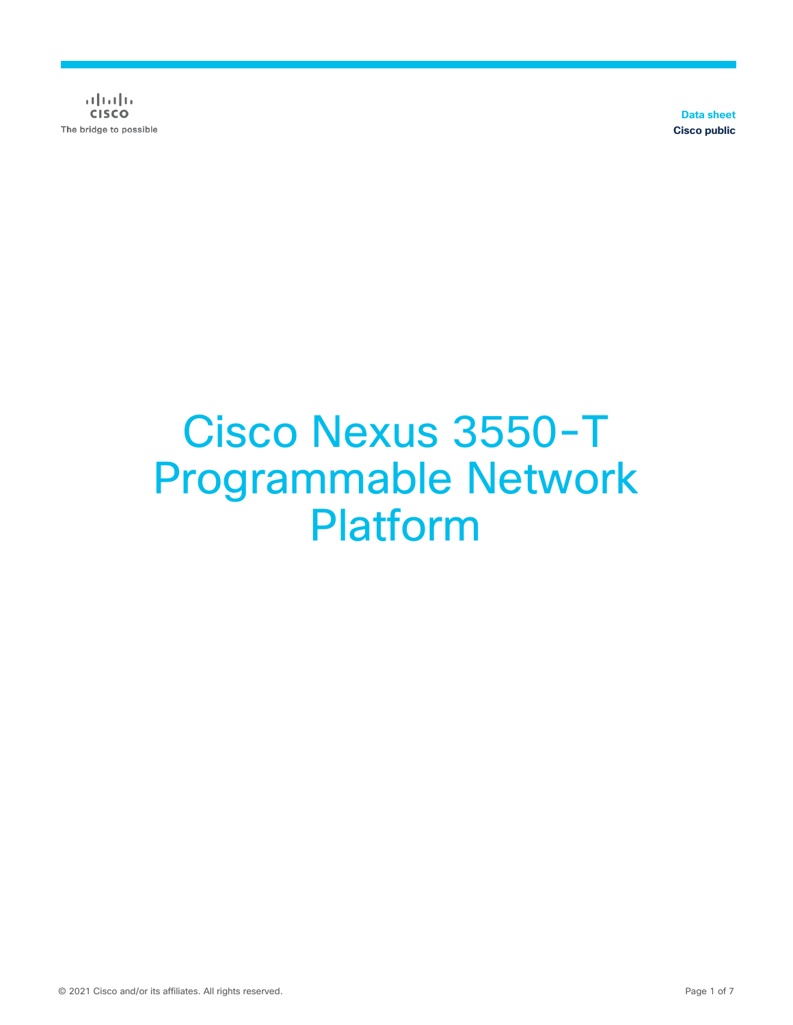$(1)(1)(1)$ **CISCO** The bridge to possible

**Data sheet Cisco public**

# Cisco Nexus 3550-T Programmable Network Platform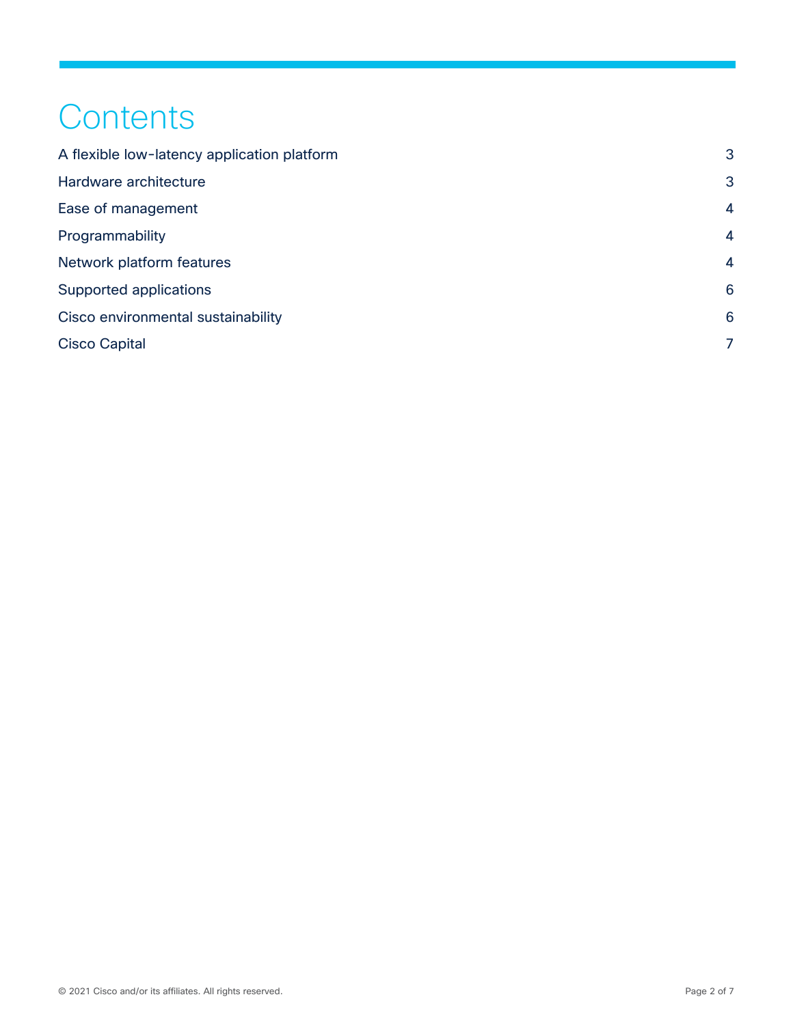# **Contents**

| A flexible low-latency application platform | 3              |
|---------------------------------------------|----------------|
| Hardware architecture                       | 3              |
| Ease of management                          | 4              |
| Programmability                             | 4              |
| Network platform features                   | $\overline{4}$ |
| Supported applications                      | 6              |
| Cisco environmental sustainability          | 6              |
| <b>Cisco Capital</b>                        | 7              |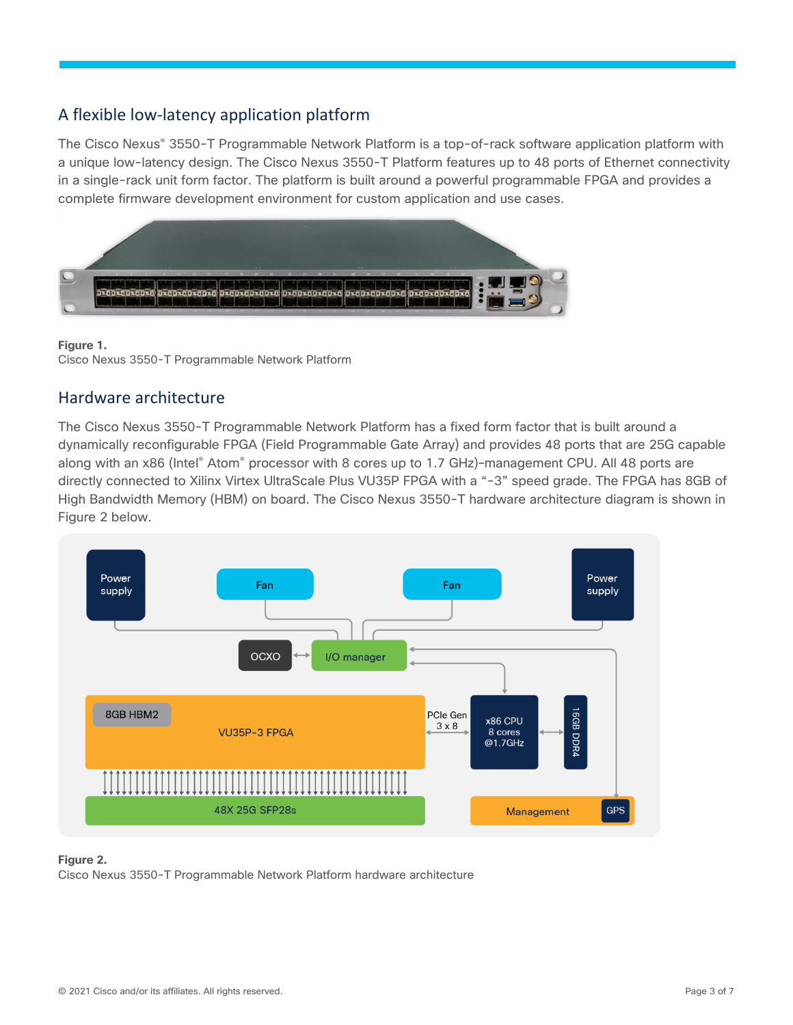# <span id="page-2-0"></span>A flexible low-latency application platform

The Cisco Nexus® 3550-T Programmable Network Platform is a top-of-rack software application platform with a unique low-latency design. The Cisco Nexus 3550-T Platform features up to 48 ports of Ethernet connectivity in a single-rack unit form factor. The platform is built around a powerful programmable FPGA and provides a complete firmware development environment for custom application and use cases.



#### **Figure 1.**

Cisco Nexus 3550-T Programmable Network Platform

# <span id="page-2-1"></span>Hardware architecture

The Cisco Nexus 3550-T Programmable Network Platform has a fixed form factor that is built around a dynamically reconfigurable FPGA (Field Programmable Gate Array) and provides 48 ports that are 25G capable along with an x86 (Intel® Atom® processor with 8 cores up to 1.7 GHz)-management CPU. All 48 ports are directly connected to Xilinx Virtex UltraScale Plus VU35P FPGA with a "-3" speed grade. The FPGA has 8GB of High Bandwidth Memory (HBM) on board. The Cisco Nexus 3550-T hardware architecture diagram is shown in Figure 2 below.



#### **Figure 2.**

Cisco Nexus 3550-T Programmable Network Platform hardware architecture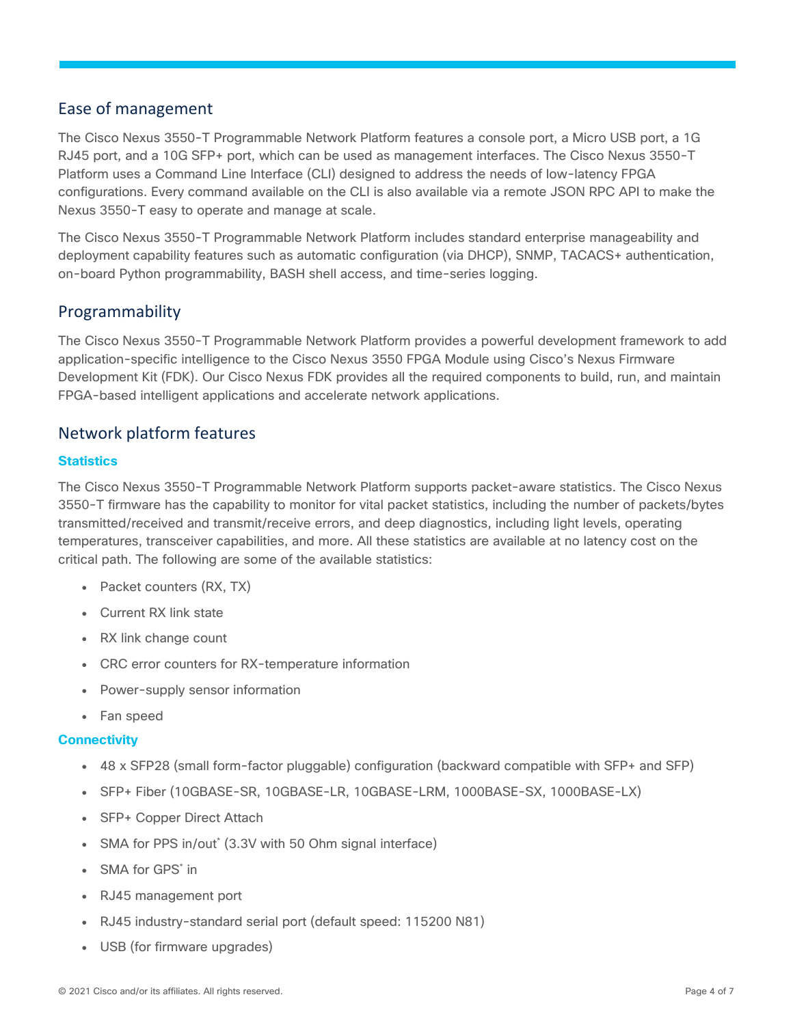# <span id="page-3-0"></span>Ease of management

The Cisco Nexus 3550-T Programmable Network Platform features a console port, a Micro USB port, a 1G RJ45 port, and a 10G SFP+ port, which can be used as management interfaces. The Cisco Nexus 3550-T Platform uses a Command Line Interface (CLI) designed to address the needs of low-latency FPGA configurations. Every command available on the CLI is also available via a remote JSON RPC API to make the Nexus 3550-T easy to operate and manage at scale.

The Cisco Nexus 3550-T Programmable Network Platform includes standard enterprise manageability and deployment capability features such as automatic configuration (via DHCP), SNMP, TACACS+ authentication, on-board Python programmability, BASH shell access, and time-series logging.

# <span id="page-3-1"></span>Programmability

The Cisco Nexus 3550-T Programmable Network Platform provides a powerful development framework to add application-specific intelligence to the Cisco Nexus 3550 FPGA Module using Cisco's Nexus Firmware Development Kit (FDK). Our Cisco Nexus FDK provides all the required components to build, run, and maintain FPGA-based intelligent applications and accelerate network applications.

### <span id="page-3-2"></span>Network platform features

#### **Statistics**

The Cisco Nexus 3550-T Programmable Network Platform supports packet-aware statistics. The Cisco Nexus 3550-T firmware has the capability to monitor for vital packet statistics, including the number of packets/bytes transmitted/received and transmit/receive errors, and deep diagnostics, including light levels, operating temperatures, transceiver capabilities, and more. All these statistics are available at no latency cost on the critical path. The following are some of the available statistics:

- Packet counters (RX, TX)
- Current RX link state
- RX link change count
- CRC error counters for RX-temperature information
- Power-supply sensor information
- Fan speed

#### **Connectivity**

- 48 x SFP28 (small form-factor pluggable) configuration (backward compatible with SFP+ and SFP)
- SFP+ Fiber (10GBASE-SR, 10GBASE-LR, 10GBASE-LRM, 1000BASE-SX, 1000BASE-LX)
- SFP+ Copper Direct Attach
- SMA for PPS in/out\* (3.3V with 50 Ohm signal interface)
- SMA for GPS\* in
- RJ45 management port
- RJ45 industry-standard serial port (default speed: 115200 N81)
- USB (for firmware upgrades)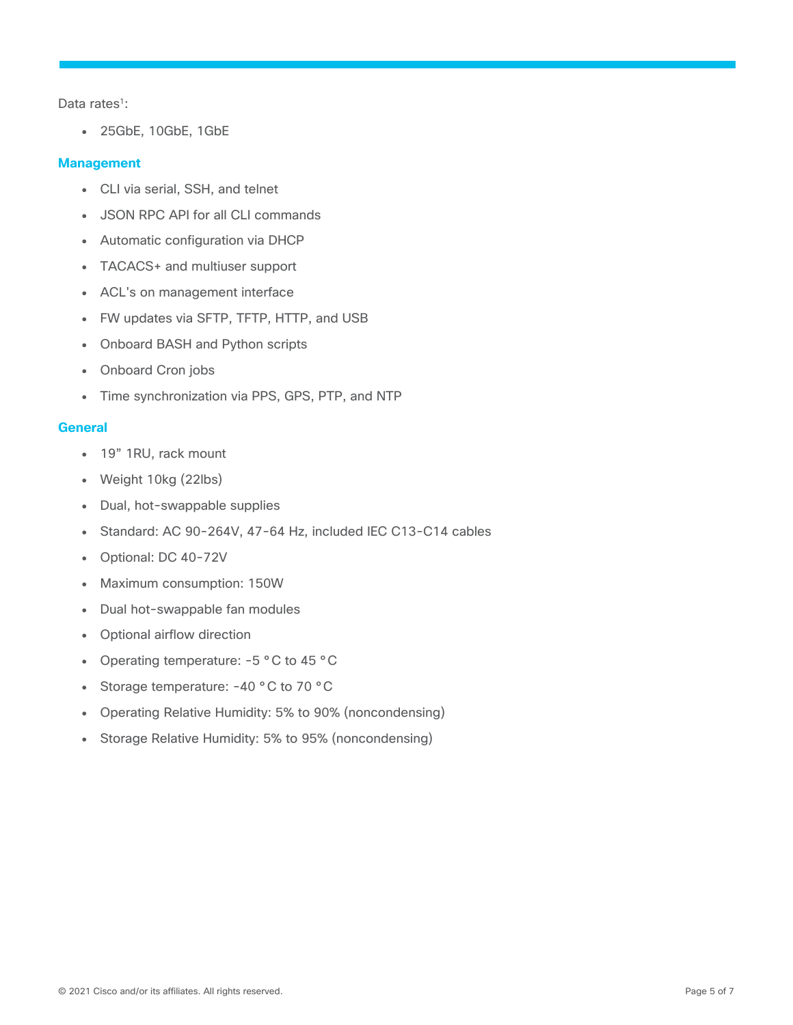Data rates<sup>1</sup>:

● 25GbE, 10GbE, 1GbE

#### **Management**

- CLI via serial, SSH, and telnet
- JSON RPC API for all CLI commands
- Automatic configuration via DHCP
- TACACS+ and multiuser support
- ACL's on management interface
- FW updates via SFTP, TFTP, HTTP, and USB
- Onboard BASH and Python scripts
- Onboard Cron jobs
- Time synchronization via PPS, GPS, PTP, and NTP

#### **General**

- 19" 1RU, rack mount
- Weight 10kg (22lbs)
- Dual, hot-swappable supplies
- Standard: AC 90-264V, 47-64 Hz, included IEC C13-C14 cables
- Optional: DC 40-72V
- Maximum consumption: 150W
- Dual hot-swappable fan modules
- Optional airflow direction
- Operating temperature: -5 °C to 45 °C
- Storage temperature: -40 °C to 70 °C
- Operating Relative Humidity: 5% to 90% (noncondensing)
- Storage Relative Humidity: 5% to 95% (noncondensing)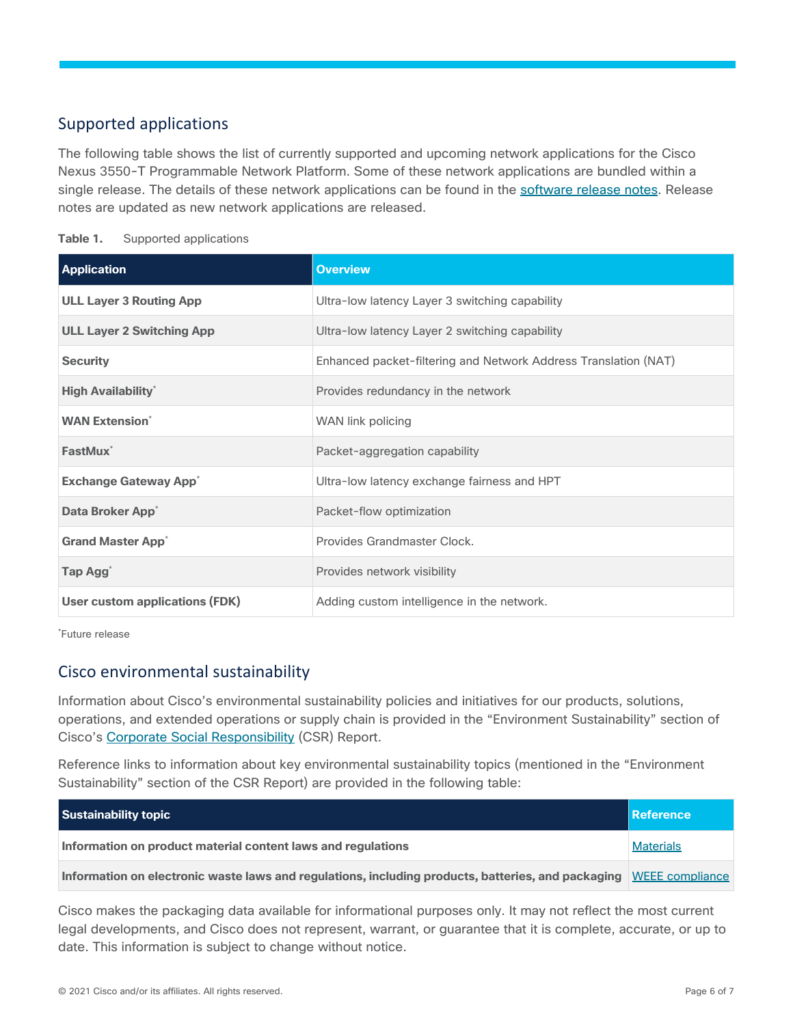# <span id="page-5-0"></span>Supported applications

The following table shows the list of currently supported and upcoming network applications for the Cisco Nexus 3550-T Programmable Network Platform. Some of these network applications are bundled within a single release. The details of these network applications can be found in the [software release notes.](https://www.cisco.com/c/en/us/products/collateral/switches/nexus-3550-series/nexus-3550-release-notes.html) Release notes are updated as new network applications are released.

| Table 1. |  | Supported applications |
|----------|--|------------------------|
|----------|--|------------------------|

| <b>Application</b>                      | <b>Overview</b>                                                 |
|-----------------------------------------|-----------------------------------------------------------------|
| <b>ULL Layer 3 Routing App</b>          | Ultra-low latency Layer 3 switching capability                  |
| <b>ULL Layer 2 Switching App</b>        | Ultra-low latency Layer 2 switching capability                  |
| <b>Security</b>                         | Enhanced packet-filtering and Network Address Translation (NAT) |
| <b>High Availability</b>                | Provides redundancy in the network                              |
| <b>WAN Extension</b> *                  | WAN link policing                                               |
| FastMux <sup>*</sup>                    | Packet-aggregation capability                                   |
| <b>Exchange Gateway App<sup>*</sup></b> | Ultra-low latency exchange fairness and HPT                     |
| Data Broker App <sup>*</sup>            | Packet-flow optimization                                        |
| <b>Grand Master App<sup>*</sup></b>     | Provides Grandmaster Clock.                                     |
| Tap Agg <sup>*</sup>                    | Provides network visibility                                     |
| User custom applications (FDK)          | Adding custom intelligence in the network.                      |

\*Future release

# <span id="page-5-1"></span>Cisco environmental sustainability

Information about Cisco's environmental sustainability policies and initiatives for our products, solutions, operations, and extended operations or supply chain is provided in the "Environment Sustainability" section of Cisco's [Corporate Social Responsibility](https://www-1.compliance2product.com/c2p/getAttachment.do?code=YM6Y0yThdO6Wj1FxxYPYfUG2dtFkTeFWGpzLRO8tcURFEifUCRV403Tq2ZMWP6Ai) (CSR) Report.

Reference links to information about key environmental sustainability topics (mentioned in the "Environment Sustainability" section of the CSR Report) are provided in the following table:

| Sustainability topic                                                                                               | Reference        |
|--------------------------------------------------------------------------------------------------------------------|------------------|
| Information on product material content laws and regulations                                                       | <b>Materials</b> |
| Information on electronic waste laws and regulations, including products, batteries, and packaging WEEE compliance |                  |

Cisco makes the packaging data available for informational purposes only. It may not reflect the most current legal developments, and Cisco does not represent, warrant, or guarantee that it is complete, accurate, or up to date. This information is subject to change without notice.